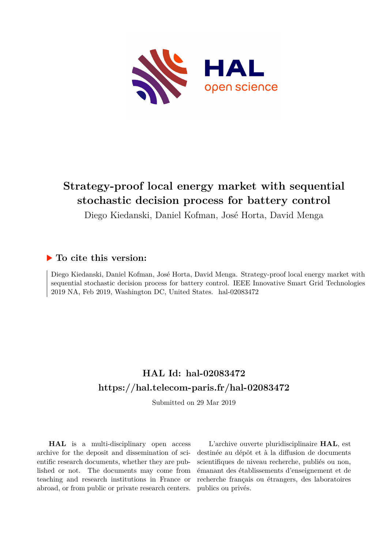

## **Strategy-proof local energy market with sequential stochastic decision process for battery control**

Diego Kiedanski, Daniel Kofman, José Horta, David Menga

### **To cite this version:**

Diego Kiedanski, Daniel Kofman, José Horta, David Menga. Strategy-proof local energy market with sequential stochastic decision process for battery control. IEEE Innovative Smart Grid Technologies 2019 NA, Feb 2019, Washington DC, United States. hal-02083472

## **HAL Id: hal-02083472 <https://hal.telecom-paris.fr/hal-02083472>**

Submitted on 29 Mar 2019

**HAL** is a multi-disciplinary open access archive for the deposit and dissemination of scientific research documents, whether they are published or not. The documents may come from teaching and research institutions in France or abroad, or from public or private research centers.

L'archive ouverte pluridisciplinaire **HAL**, est destinée au dépôt et à la diffusion de documents scientifiques de niveau recherche, publiés ou non, émanant des établissements d'enseignement et de recherche français ou étrangers, des laboratoires publics ou privés.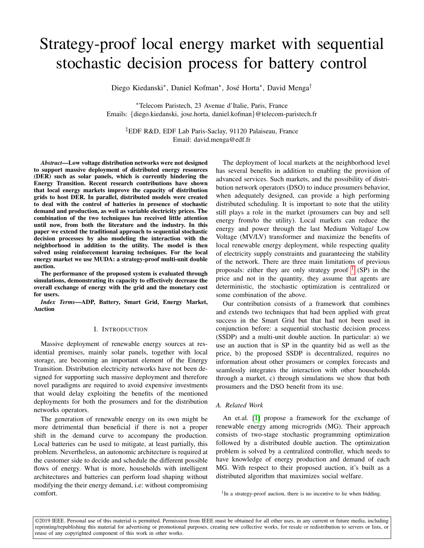# Strategy-proof local energy market with sequential stochastic decision process for battery control

Diego Kiedanski<sup>∗</sup>, Daniel Kofman<sup>∗</sup>, José Horta<sup>∗</sup>, David Menga<sup>†</sup>

<sup>∗</sup>Telecom Paristech, 23 Avenue d'Italie, Paris, France Emails: {diego.kiedanski, jose.horta, daniel.kofman}@telecom-paristech.fr

‡EDF R&D, EDF Lab Paris-Saclay, 91120 Palaiseau, France Email: david.menga@edf.fr

*Abstract*—Low voltage distribution networks were not designed to support massive deployment of distributed energy resources (DER) such as solar panels, which is currently hindering the Energy Transition. Recent research contributions have shown that local energy markets improve the capacity of distribution grids to host DER. In parallel, distributed models were created to deal with the control of batteries in presence of stochastic demand and production, as well as variable electricity prices. The combination of the two techniques has received little attention until now, from both the literature and the industry. In this paper we extend the traditional approach to sequential stochastic decision processes by also modeling the interaction with the neighborhood in addition to the utility. The model is then solved using reinforcement learning techniques. For the local energy market we use MUDA: a strategy-proof multi-unit double auction.

The performance of the proposed system is evaluated through simulations, demonstrating its capacity to effectively decrease the overall exchange of energy with the grid and the monetary cost for users.

*Index Terms*—ADP, Battery, Smart Grid, Energy Market, Auction

#### I. INTRODUCTION

Massive deployment of renewable energy sources at residential premises, mainly solar panels, together with local storage, are becoming an important element of the Energy Transition. Distribution electricity networks have not been designed for supporting such massive deployment and therefore novel paradigms are required to avoid expensive investments that would delay exploiting the benefits of the mentioned deployments for both the prosumers and for the distribution networks operators.

The generation of renewable energy on its own might be more detrimental than beneficial if there is not a proper shift in the demand curve to accompany the production. Local batteries can be used to mitigate, at least partially, this problem. Nevertheless, an autonomic architecture is required at the customer side to decide and schedule the different possible flows of energy. What is more, households with intelligent architectures and batteries can perform load shaping without modifying the their energy demand, i.e: without compromising comfort.

The deployment of local markets at the neighborhood level has several benefits in addition to enabling the provision of advanced services. Such markets, and the possibility of distribution network operators (DSO) to induce prosumers behavior, when adequately designed, can provide a high performing distributed scheduling. It is important to note that the utility still plays a role in the market (prosumers can buy and sell energy from/to the utility). Local markets can reduce the energy and power through the last Medium Voltage/ Low Voltage (MV/LV) transformer and maximize the benefits of local renewable energy deployment, while respecting quality of electricity supply constraints and guaranteeing the stability of the network. There are three main limitations of previous proposals: either they are only strategy proof  $1$  (SP) in the price and not in the quantity, they assume that agents are deterministic, the stochastic optimization is centralized or some combination of the above.

Our contribution consists of a framework that combines and extends two techniques that had been applied with great success in the Smart Grid but that had not been used in conjunction before: a sequential stochastic decision process (SSDP) and a multi-unit double auction. In particular: a) we use an auction that is SP in the quantity bid as well as the price, b) the proposed SSDP is decentralized, requires no information about other prosumers or complex forecasts and seamlessly integrates the interaction with other households through a market, c) through simulations we show that both prosumers and the DSO benefit from its use.

#### *A. Related Work*

An et.al. [1] propose a framework for the exchange of renewable energy among microgrids (MG). Their approach consists of two-stage stochastic programming optimization followed by a distributed double auction. The optimization problem is solved by a centralized controller, which needs to have knowledge of energy production and demand of each MG. With respect to their proposed auction, it's built as a distributed algorithm that maximizes social welfare.

<sup>1</sup>In a strategy-proof auction, there is no incentive to lie when bidding.

©2019 IEEE. Personal use of this material is permitted. Permission from IEEE must be obtained for all other uses, in any current or future media, including reprinting/republishing this material for advertising or promotional purposes, creating new collective works, for resale or redistribution to servers or lists, or reuse of any copyrighted component of this work in other works.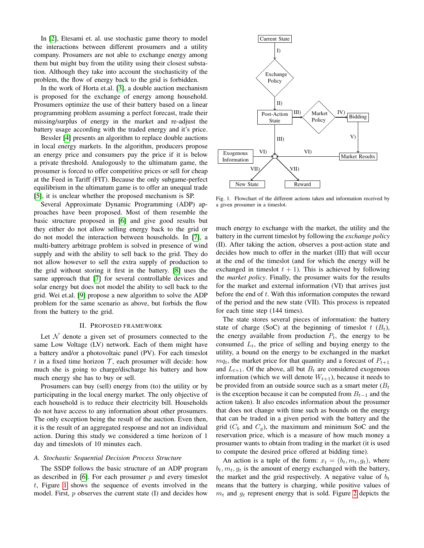In [2], Etesami et. al. use stochastic game theory to model the interactions between different prosumers and a utility company. Prosumers are not able to exchange energy among them but might buy from the utility using their closest substation. Although they take into account the stochasticity of the problem, the flow of energy back to the grid is forbidden.

In the work of Horta et.al. [3], a double auction mechanism is proposed for the exchange of energy among household. Prosumers optimize the use of their battery based on a linear programming problem assuming a perfect forecast, trade their missing/surplus of energy in the market and re-adjust the battery usage according with the traded energy and it's price.

Bessler [4] presents an algorithm to replace double auctions in local energy markets. In the algorithm, producers propose an energy price and consumers pay the price if it is below a private threshold. Analogously to the ultimatum game, the prosumer is forced to offer competitive prices or sell for cheap at the Feed in Tariff (FIT). Because the only subgame-perfect equilibrium in the ultimatum game is to offer an unequal trade [5], it is unclear whether the proposed mechanism is SP.

Several Approximate Dynamic Programming (ADP) approaches have been proposed. Most of them resemble the basic structure proposed in [6] and give good results but they either do not allow selling energy back to the grid or do not model the interaction between households. In [7], a multi-battery arbitrage problem is solved in presence of wind supply and with the ability to sell back to the grid. They do not allow however to sell the extra supply of production to the grid without storing it first in the battery. [8] uses the same approach that [7] for several controllable devices and solar energy but does not model the ability to sell back to the grid. Wei et.al. [9] propose a new algorithm to solve the ADP problem for the same scenario as above, but forbids the flow from the battery to the grid.

#### II. PROPOSED FRAMEWORK

Let  $N$  denote a given set of prosumers connected to the same Low Voltage (LV) network. Each of them might have a battery and/or a photovoltaic panel (PV). For each timeslot t in a fixed time horizon  $\mathcal T$ , each prosumer will decide: how much she is going to charge/discharge his battery and how much energy she has to buy or sell.

Prosumers can buy (sell) energy from (to) the utility or by participating in the local energy market. The only objective of each household is to reduce their electricity bill. Households do not have access to any information about other prosumers. The only exception being the result of the auction. Even then, it is the result of an aggregated response and not an individual action. During this study we considered a time horizon of 1 day and timeslots of 10 minutes each.

#### *A. Stochastic Sequential Decision Process Structure*

The SSDP follows the basic structure of an ADP program as described in [6]. For each prosumer  $p$  and every times lot t, Figure 1 shows the sequence of events involved in the model. First, p observes the current state (I) and decides how



Fig. 1. Flowchart of the different actions taken and information received by a given prosumer in a timeslot.

much energy to exchange with the market, the utility and the battery in the current timeslot by following the *exchange policy* (II). After taking the action, observes a post-action state and decides how much to offer in the market (III) that will occur at the end of the timeslot (and for which the energy will be exchanged in timeslot  $t + 1$ ). This is achieved by following the *market policy*. Finally, the prosumer waits for the results for the market and external information (VI) that arrives just before the end of t. With this information computes the reward of the period and the new state (VII). This process is repeated for each time step (144 times).

The state stores several pieces of information: the battery state of charge (SoC) at the beginning of timeslot  $t$  ( $B_t$ ), the energy available from production  $P_t$ , the energy to be consumed  $L_t$ , the price of selling and buying energy to the utility, a bound on the energy to be exchanged in the market  $mq_t$ , the market price for that quantity and a forecast of  $P_{t+1}$ and  $L_{t+1}$ . Of the above, all but  $B_t$  are considered exogenous information (which we will denote  $W_{t+1}$ ), because it needs to be provided from an outside source such as a smart meter  $(B_t)$ is the exception because it can be computed from  $B_{t-1}$  and the action taken). It also encodes information about the prosumer that does not change with time such as bounds on the energy that can be traded in a given period with the battery and the grid  $(C_b$  and  $C_g$ ), the maximum and minimum SoC and the reservation price, which is a measure of how much money a prosumer wants to obtain from trading in the market (it is used to compute the desired price offered at bidding time).

An action is a tuple of the form:  $x_t = (b_t, m_t, g_t)$ , where  $b_t, m_t, q_t$  is the amount of energy exchanged with the battery, the market and the grid respectively. A negative value of  $b_t$ means that the battery is charging, while positive values of  $m_t$  and  $g_t$  represent energy that is sold. Figure 2 depicts the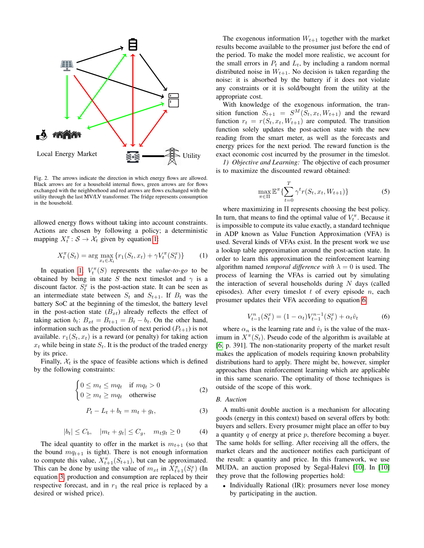

Fig. 2. The arrows indicate the direction in which energy flows are allowed. Black arrows are for a household internal flows, green arrows are for flows exchanged with the neighborhood and red arrows are flows exchanged with the utility through the last MV/LV transformer. The fridge represents consumption in the household.

allowed energy flows without taking into account constraints. Actions are chosen by following a policy; a deterministic mapping  $X_t^{\pi}$ :  $S \to \mathcal{X}_t$  given by equation 1:

$$
X_t^{\pi}(S_t) = \arg \max_{x_t \in \mathcal{X}_t} \{ r_1(S_t, x_t) + \gamma V_t^{\pi}(S_t^x) \}
$$
 (1)

In equation 1,  $V_t^{\pi}(S)$  represents the *value-to-go* to be obtained by being in state S the next timeslot and  $\gamma$  is a discount factor.  $S_t^x$  is the post-action state. It can be seen as an intermediate state between  $S_t$  and  $S_{t+1}$ . If  $B_t$  was the battery SoC at the beginning of the timeslot, the battery level in the post-action state  $(B_{xt})$  already reflects the effect of taking action  $b_t$ :  $B_{xt} = B_{t+1} = B_t - b_t$ . On the other hand, information such as the production of next period  $(P_{t+1})$  is not available.  $r_1(S_t, x_t)$  is a reward (or penalty) for taking action  $x_t$  while being in state  $S_t$ . It is the product of the traded energy by its price.

Finally,  $X_t$  is the space of feasible actions which is defined by the following constraints:

$$
\begin{cases} 0 \le m_t \le mq_t & \text{if } mq_t > 0 \\ 0 \ge m_t \ge mq_t & \text{otherwise} \end{cases}
$$
 (2)

$$
P_t - L_t + b_t = m_t + g_t,\t\t(3)
$$

$$
|b_t| \le C_b, \quad |m_t + g_t| \le C_g, \quad m_t g_t \ge 0 \tag{4}
$$

The ideal quantity to offer in the market is  $m_{t+1}$  (so that the bound  $mq_{t+1}$  is tight). There is not enough information to compute this value,  $X_{t+1}^{\pi}(S_{t+1})$ , but can be approximated. This can be done by using the value of  $m_{xt}$  in  $X_{t+1}^{\pi}(S_t^x)$  (In equation 3, production and consumption are replaced by their respective forecast, and in  $r_1$  the real price is replaced by a desired or wished price).

The exogenous information  $W_{t+1}$  together with the market results become available to the prosumer just before the end of the period. To make the model more realistic, we account for the small errors in  $P_t$  and  $L_t$ , by including a random normal distributed noise in  $W_{t+1}$ . No decision is taken regarding the noise: it is absorbed by the battery if it does not violate any constraints or it is sold/bought from the utility at the appropriate cost.

With knowledge of the exogenous information, the transition function  $S_{t+1} = S^M(S_t, x_t, W_{t+1})$  and the reward function  $r_t = r(S_t, x_t, W_{t+1})$  are computed. The transition function solely updates the post-action state with the new reading from the smart meter, as well as the forecasts and energy prices for the next period. The reward function is the exact economic cost incurred by the prosumer in the timeslot.

*1) Objective and Learning:* The objective of each prosumer is to maximize the discounted reward obtained:

$$
\max_{\pi \in \Pi} \mathbb{E}^{\pi} \{ \sum_{t=0}^{T} \gamma^{t} r(S_{t}, x_{t}, W_{t+1}) \}
$$
 (5)

where maximizing in Π represents choosing the best policy. In turn, that means to find the optimal value of  $V_t^{\pi}$ . Because it is impossible to compute its value exactly, a standard technique in ADP known as Value Function Approximation (VFA) is used. Several kinds of VFAs exist. In the present work we use a lookup table approximation around the post-action state. In order to learn this approximation the reinforcement learning algorithm named *temporal difference with*  $\lambda = 0$  is used. The process of learning the VFAs is carried out by simulating the interaction of several households during  $N$  days (called episodes). After every timeslot  $t$  of every episode  $n$ , each prosumer updates their VFA according to equation 6.

$$
V_{t-1}^{n}(S_{t}^{x}) = (1 - \alpha_{t})V_{t-1}^{n-1}(S_{t}^{x}) + \alpha_{t}\hat{v}_{t}
$$
 (6)

where  $\alpha_n$  is the learning rate and  $\hat{v}_t$  is the value of the maximum in  $X^{\pi}(S_t)$ . Pseudo code of the algorithm is available at [6, p. 391]. The non-stationarity property of the market result makes the application of models requiring known probability distributions hard to apply. There might be, however, simpler approaches than reinforcement learning which are applicable in this same scenario. The optimality of those techniques is outside of the scope of this work.

#### *B. Auction*

A multi-unit double auction is a mechanism for allocating goods (energy in this context) based on several offers by both: buyers and sellers. Every prosumer might place an offer to buy a quantity  $q$  of energy at price  $p$ , therefore becoming a buyer. The same holds for selling. After receiving all the offers, the market clears and the auctioneer notifies each participant of the result: a quantity and price. In this framework, we use MUDA, an auction proposed by Segal-Halevi [10]. In [10] they prove that the following properties hold:

• Individually Rational (IR): prosumers never lose money by participating in the auction.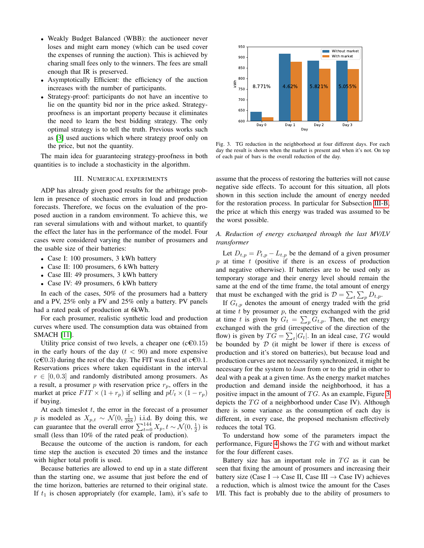- Weakly Budget Balanced (WBB): the auctioneer never loses and might earn money (which can be used cover the expenses of running the auction). This is achieved by charing small fees only to the winners. The fees are small enough that IR is preserved.
- Asymptotically Efficient: the efficiency of the auction increases with the number of participants.
- Strategy-proof: participants do not have an incentive to lie on the quantity bid nor in the price asked. Strategyproofness is an important property because it eliminates the need to learn the best bidding strategy. The only optimal strategy is to tell the truth. Previous works such as [3] used auctions which where strategy proof only on the price, but not the quantity.

The main idea for guaranteeing strategy-proofness in both quantities is to include a stochasticity in the algorithm.

#### III. NUMERICAL EXPERIMENTS

ADP has already given good results for the arbitrage problem in presence of stochastic errors in load and production forecasts. Therefore, we focus on the evaluation of the proposed auction in a random environment. To achieve this, we ran several simulations with and without market, to quantify the effect the later has in the performance of the model. Four cases were considered varying the number of prosumers and the usable size of their batteries:

- Case I: 100 prosumers, 3 kWh battery
- Case II: 100 prosumers, 6 kWh battery
- Case III: 49 prosumers, 3 kWh battery
- Case IV: 49 prosumers, 6 kWh battery

In each of the cases, 50% of the prosumers had a battery and a PV, 25% only a PV and 25% only a battery. PV panels had a rated peak of production at 6kWh.

For each prosumer, realistic synthetic load and production curves where used. The consumption data was obtained from SMACH [11].

Utility price consist of two levels, a cheaper one ( $c \in (0.15)$ ) in the early hours of the day  $(t < 90)$  and more expensive  $(c \in 0.3)$  during the rest of the day. The FIT was fixed at  $c \in 0.1$ . Reservations prices where taken equidistant in the interval  $r \in [0, 0.3]$  and randomly distributed among prosumers. As a result, a prosumer p with reservation price  $r_p$ , offers in the market at price  $FIT \times (1 + r_p)$  if selling and  $pU_t \times (1 - r_p)$ if buying.

At each timeslot  $t$ , the error in the forecast of a prosumer p is modeled as  $X_{p,t} \sim \mathcal{N}(0, \frac{1}{288})$  i.i.d. By doing this, we can guarantee that the overall error  $\sum_{t=0}^{144} X_p, t \sim \mathcal{N}(0, \frac{1}{2})$  is small (less than 10% of the rated peak of production).

Because the outcome of the auction is random, for each time step the auction is executed 20 times and the instance with higher total profit is used.

Because batteries are allowed to end up in a state different than the starting one, we assume that just before the end of the time horizon, batteries are returned to their original state. If  $t_1$  is chosen appropriately (for example, 1am), it's safe to



Fig. 3. TG reduction in the neighborhood at four different days. For each day the result is shown when the market is present and when it's not. On top of each pair of bars is the overall reduction of the day.

assume that the process of restoring the batteries will not cause negative side effects. To account for this situation, all plots shown in this section include the amount of energy needed for the restoration process. In particular for Subsection III-B, the price at which this energy was traded was assumed to be the worst possible.

#### *A. Reduction of energy exchanged through the last MV/LV transformer*

Let  $D_{t,p} = P_{t,p} - L_{t,p}$  be the demand of a given prosumer  $p$  at time  $t$  (positive if there is an excess of production and negative otherwise). If batteries are to be used only as temporary storage and their energy level should remain the same at the end of the time frame, the total amount of energy that must be exchanged with the grid is  $\mathcal{D} = \sum_{t} \sum_{p} D_{t,p}$ .

If  $G_{t,p}$  denotes the amount of energy traded with the grid at time  $t$  by prosumer  $p$ , the energy exchanged with the grid at time t is given by  $G_t = \sum_p G_{t,p}$ . Then, the net energy exchanged with the grid (irrespective of the direction of the flow) is given by  $TG = \sum_t |G_t|$ . In an ideal case,  $TG$  would be bounded by  $D$  (it might be lower if there is excess of production and it's stored on batteries), but because load and production curves are not necessarily synchronized, it might be necessary for the system to *loan* from or to the grid in other to deal with a peak at a given time. As the energy market matches production and demand inside the neighborhood, it has a positive impact in the amount of  $TG$ . As an example, Figure 3 depicts the  $TG$  of a neighborhood under Case IV). Although there is some variance as the consumption of each day is different, in every case, the proposed mechanism effectively reduces the total TG.

To understand how some of the parameters impact the performance, Figure 4 shows the  $TG$  with and without market for the four different cases.

Battery size has an important role in  $TG$  as it can be seen that fixing the amount of prosumers and increasing their battery size (Case I  $\rightarrow$  Case II, Case III  $\rightarrow$  Case IV) achieves a reduction, which is almost twice the amount for the Cases I/II. This fact is probably due to the ability of prosumers to